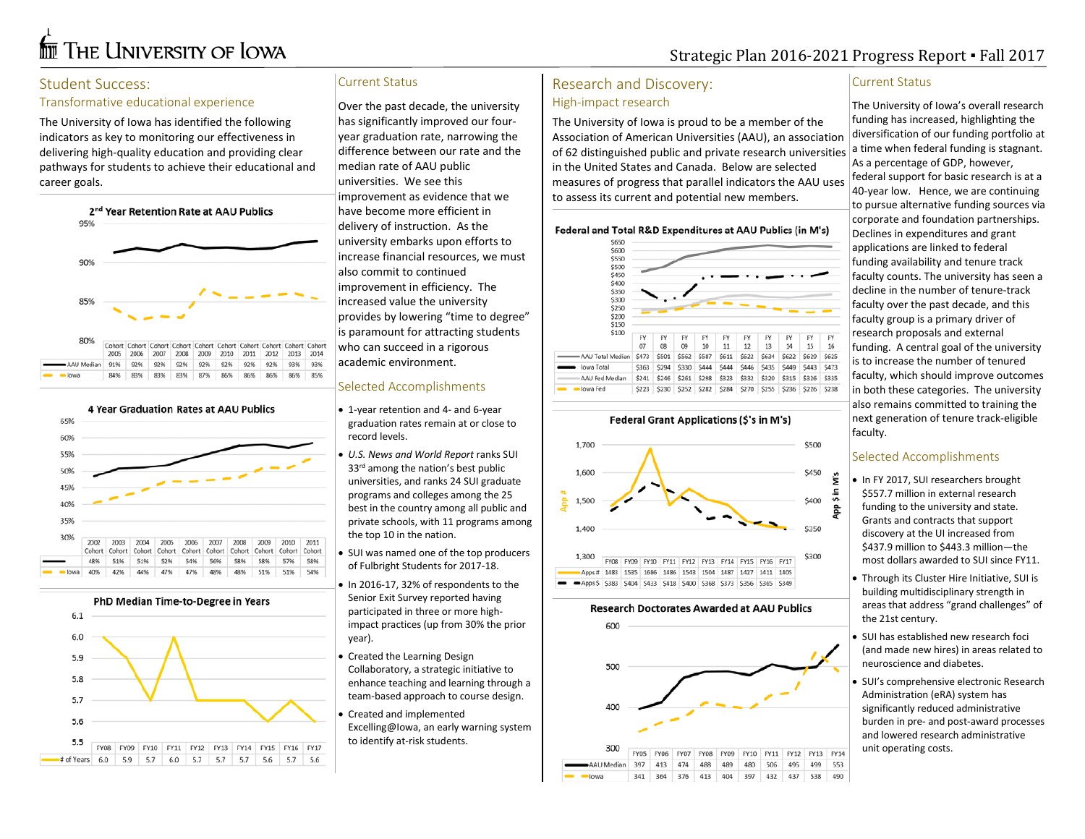# **THE UNIVERSITY OF LOWA**

# Strategic Plan 2016-2021 Progress Report ▪ Fall 2017

# Student Success:

#### Transformative educational experience

The University of Iowa has identified the following indicators as key to monitoring our effectiveness in delivering high-quality education and providing clear pathways for students to achieve their educational and career goals.



|                |      |      |      |     |                |                 |     |                |     | Cohort Cohort Cohort Cohort Cohort Cohort Cohort Cohort Cohort Cohort: |
|----------------|------|------|------|-----|----------------|-----------------|-----|----------------|-----|------------------------------------------------------------------------|
|                | 2005 | 2006 | 2007 |     | 2008 2009 2010 |                 |     | 2011 2012 2013 |     | 2014                                                                   |
| AAU Median 91% |      | 92%  | 92%  | 92% |                | 92% 92% 92% 92% |     |                | 93% | 93%                                                                    |
| lowa           | 84%  | 83%  | 83%  | 83% | 87%            | 86%             | 86% | 86%            | 86% | 85%                                                                    |
|                |      |      |      |     |                |                 |     |                |     |                                                                        |



PhD Median Time-to-Degree in Years



# Current Status

Over the past decade, the university has significantly improved our fouryear graduation rate, narrowing the difference between our rate and the median rate of AAU public universities. We see this improvement as evidence that we have become more efficient in delivery of instruction. As the university embarks upon efforts to increase financial resources, we must also commit to continued improvement in efficiency. The increased value the university provides by lowering "time to degree" is paramount for attracting students who can succeed in a rigorous academic environment.

#### Selected Accomplishments

- 1-year retention and 4- and 6-year graduation rates remain at or close to record levels.
- *U.S. News and World Report* ranks SUI 33<sup>rd</sup> among the nation's best public universities, and ranks 24 SUI graduate programs and colleges among the 25 best in the country among all public and private schools, with 11 programs among the top 10 in the nation.
- SUI was named one of the top producers of Fulbright Students for 2017-18.
- In 2016-17, 32% of respondents to the Senior Exit Survey reported having participated in three or more highimpact practices (up from 30% the prior year).
- Created the Learning Design Collaboratory, a strategic initiative to enhance teaching and learning through a team-based approach to course design.
- Created and implemented [Excelling@Iowa,](https://uc.uiowa.edu/student-success/excellingiowa) an early warning system to identify at-risk students.

# Research and Discovery: High-impact research

The University of Iowa is proud to be a member of the Association of American Universities (AAU), an association of 62 distinguished public and private research universities in the United States and Canada. Below are selected measures of progress that parallel indicators the AAU uses to assess its current and potential new members.

#### Federal and Total R&D Expenditures at AAU Publics (in M's)





#### **Research Doctorates Awarded at AAU Publics**



#### Current Status

The University of Iowa's overall research funding has increased, highlighting the diversification of our funding portfolio at a time when federal funding is stagnant. As a percentage of GDP, however, federal support for basic research is at a 40-year low. Hence, we are continuing to pursue alternative funding sources via corporate and foundation partnerships. Declines in expenditures and grant applications are linked to federal funding availability and tenure track faculty counts. The university has seen a decline in the number of tenure-track faculty over the past decade, and this faculty group is a primary driver of research proposals and external funding. A central goal of the university is to increase the number of tenured faculty, which should improve outcomes in both these categories. The university also remains committed to training the next generation of tenure track-eligible faculty.

# Selected Accomplishments

- In FY 2017, SUI researchers brought \$557.7 million in external research funding to the university and state. Grants and contracts that support discovery at the UI increased from \$437.9 million to \$443.3 million—the most dollars awarded to SUI since FY11.
- Through its Cluster Hire Initiative, SUI is building multidisciplinary strength in areas that address "grand challenges" of the 21st century.

• SUI has established new research foci (and made new hires) in areas related to neuroscience and diabetes.

• SUI's comprehensive electronic Research Administration (eRA) system has significantly reduced administrative burden in pre- and post-award processes and lowered research administrative unit operating costs.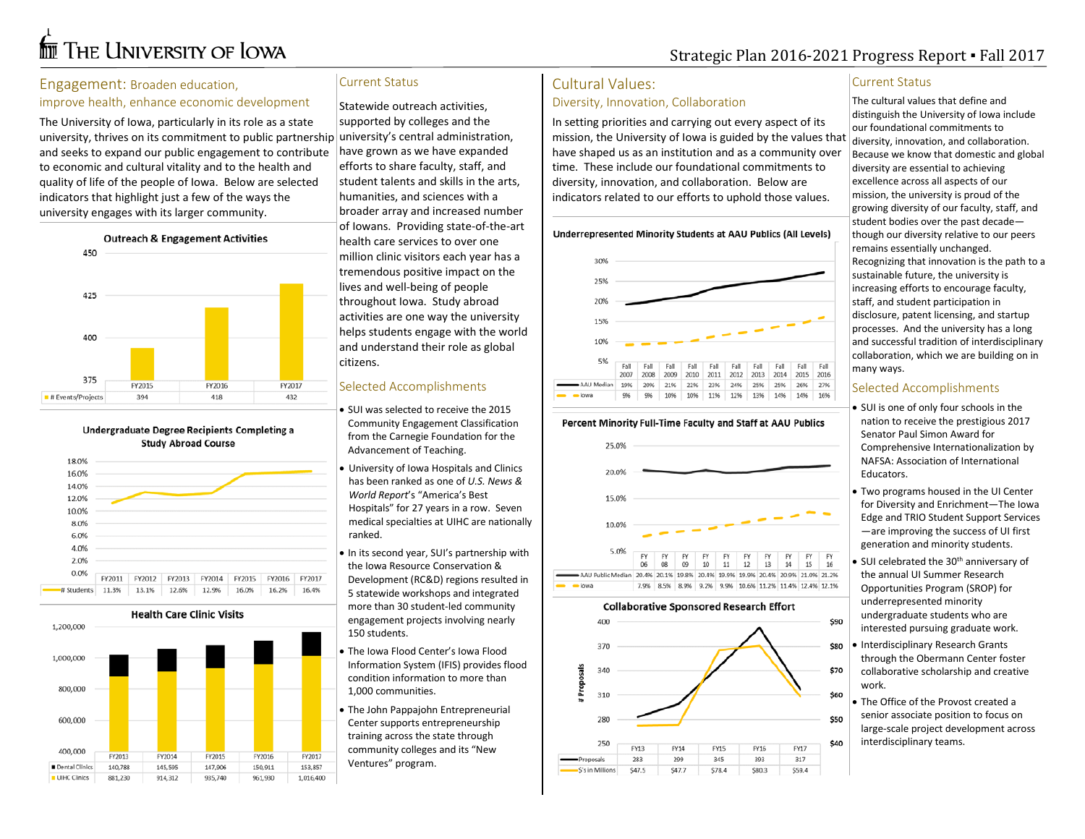# **for** The University of Iowa

# Strategic Plan 2016-2021 Progress Report ▪ Fall 2017

#### Engagement: Broaden education,

#### improve health, enhance economic development

The University of Iowa, particularly in its role as a state university, thrives on its commitment to public partnership university's central administration, and seeks to expand our public engagement to contribute to economic and cultural vitality and to the health and quality of life of the people of Iowa. Below are selected indicators that highlight just a few of the ways the university engages with its larger community.



Undergraduate Degree Recipients Completing a **Study Abroad Course** 



**Health Care Clinic Visits** 

1,200,000



## Current Status

Statewide outreach activities, supported by colleges and the have grown as we have expanded efforts to share faculty, staff, and student talents and skills in the arts, humanities, and sciences with a broader array and increased number of Iowans. Providing state-of-the-art health care services to over one million clinic visitors each year has a tremendous positive impact on the lives and well-being of people throughout Iowa. Study abroad activities are one way the university helps students engage with the world and understand their role as global citizens.

### Selected Accomplishments

- SUI was selected to receive the 2015 Community Engagement Classification from the Carnegie Foundation for the Advancement of Teaching.
- University of Iowa Hospitals and Clinics has been ranked as one of *U.S. News & World Report*'s "America's Best Hospitals" for 27 years in a row. Seven medical specialties at UIHC are nationally ranked.
- In its second year, SUI's partnership with the Iowa Resource Conservation & Development (RC&D) regions resulted in 5 statewide workshops and integrated more than 30 student-led community engagement projects involving nearly 150 students.
- The Iowa Flood Center's Iowa Flood Information System (IFIS) provides flood condition information to more than 1,000 communities.
- The John Pappajohn Entrepreneurial Center supports entrepreneurship training across the state through community colleges and its "New Ventures" program.

# Cultural Values:

#### Diversity, Innovation, Collaboration

In setting priorities and carrying out every aspect of its mission, the University of Iowa is guided by the values that have shaped us as an institution and as a community over time. These include our foundational commitments to diversity, innovation, and collaboration. Below are indicators related to our efforts to uphold those values.





#### Percent Minority Full-Time Faculty and Staff at AAU Publics



#### Current Status

The cultural values that define and distinguish the University of Iowa include our foundational commitments to diversity, innovation, and collaboration. Because we know that domestic and global diversity are essential to achieving excellence across all aspects of our mission, the university is proud of the growing diversity of our faculty, staff, and student bodies over the past decade though our diversity relative to our peers remains essentially unchanged. Recognizing that innovation is the path to a sustainable future, the university is increasing efforts to encourage faculty, staff, and student participation in disclosure, patent licensing, and startup processes. And the university has a long and successful tradition of interdisciplinary collaboration, which we are building on in many ways.

#### Selected Accomplishments

• SUI is one of only four schools in the nation to receive the prestigious 2017 Senator Paul Simon Award for Comprehensive Internationalization by NAFSA: Association of International Educators.

- Two programs housed in the UI Center for Diversity and Enrichment—The Iowa Edge and TRIO Student Support Services —are improving the success of UI first generation and minority students.
- SUI celebrated the 30<sup>th</sup> anniversary of the annua[l UI Summer Research](https://www.grad.uiowa.edu/ogi/srop)  [Opportunities Program](https://www.grad.uiowa.edu/ogi/srop) (SROP) for underrepresented minority undergraduate students who are interested pursuing graduate work.
- Interdisciplinary Research Grants through the Obermann Center foster collaborative scholarship and creative work.
- The Office of the Provost created a senior associate position to focus on large-scale project development across interdisciplinary teams.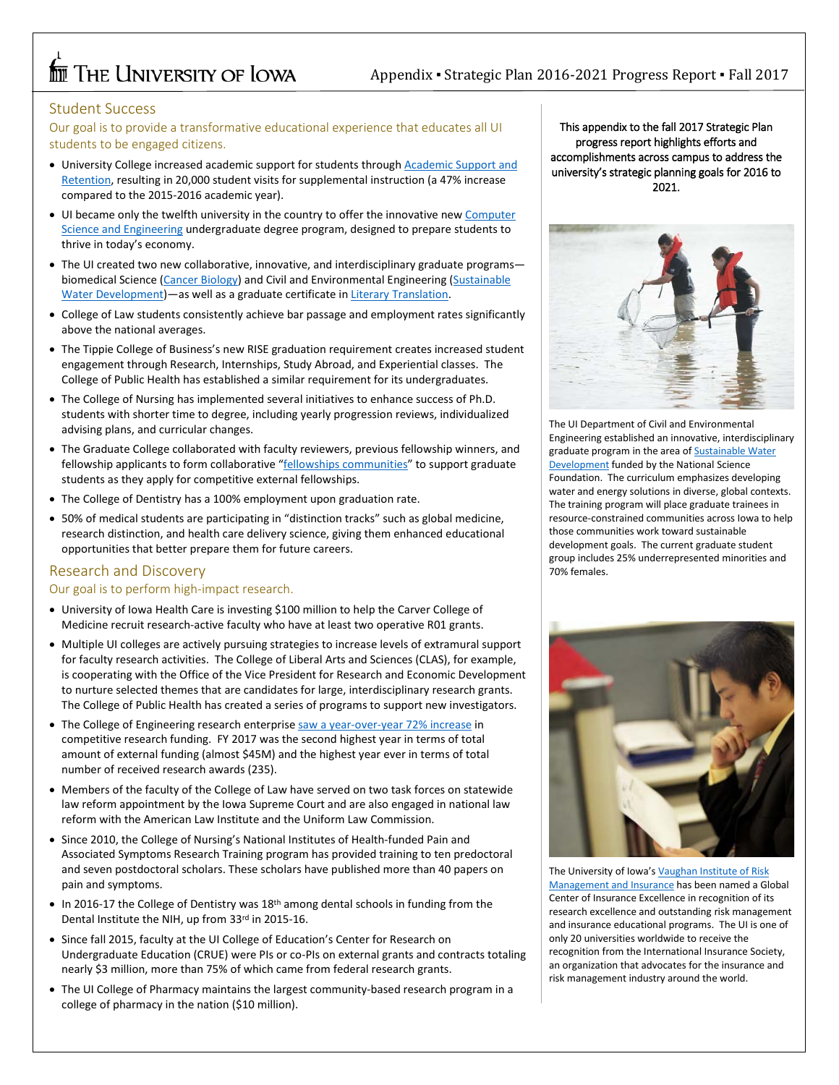# **THE UNIVERSITY OF LOWA**

# Student Success

Our goal is to provide a transformative educational experience that educates all UI students to be engaged citizens.

- University College increased academic support for students through Academic Support and [Retention,](https://uc.uiowa.edu/retention) resulting in 20,000 student visits for supplemental instruction (a 47% increase compared to the 2015-2016 academic year).
- UI became only the twelfth university in the country to offer the innovative new [Computer](https://www.engineering.uiowa.edu/news/new-bachelor-science-degree-engineering-majoring-computer-science-and-engineering-approved-iowa)  [Science and Engineering](https://www.engineering.uiowa.edu/news/new-bachelor-science-degree-engineering-majoring-computer-science-and-engineering-approved-iowa) undergraduate degree program, designed to prepare students to thrive in today's economy.
- The UI created two new collaborative, innovative, and interdisciplinary graduate programs— biomedical Science [\(Cancer Biology\)](https://medicine.uiowa.edu/biomed/academic-programs/cancer-biology) and Civil and Environmental Engineering (Sustainable [Water Development\)](http://waterhawks.uiowa.edu/)—as well as a graduate certificate i[n Literary Translation.](https://clas.uiowa.edu/dwllc/mfa-literary-translation/graduate-certificate)
- College of Law students consistently achieve bar passage and employment rates significantly above the national averages.
- The Tippie College of Business's new RISE graduation requirement creates increased student engagement through Research, Internships, Study Abroad, and Experiential classes. The College of Public Health has established a similar requirement for its undergraduates.
- The College of Nursing has implemented several initiatives to enhance success of Ph.D. students with shorter time to degree, including yearly progression reviews, individualized advising plans, and curricular changes.
- The Graduate College collaborated with faculty reviewers, previous fellowship winners, and fellowship applicants to form collaborative ["fellowships communities"](https://www.grad.uiowa.edu/news/2017-08-25/fellowship-communities-bring-together-applicants-fellows-and-reviewers) to support graduate students as they apply for competitive external fellowships.
- The College of Dentistry has a 100% employment upon graduation rate.
- 50% of medical students are participating in "distinction tracks" such as global medicine, research distinction, and health care delivery science, giving them enhanced educational opportunities that better prepare them for future careers.

# Research and Discovery

#### Our goal is to perform high-impact research.

- University of Iowa Health Care is investing \$100 million to help the Carver College of Medicine recruit research-active faculty who have at least two operative R01 grants.
- Multiple UI colleges are actively pursuing strategies to increase levels of extramural support for faculty research activities. The College of Liberal Arts and Sciences (CLAS), for example, is cooperating with the Office of the Vice President for Research and Economic Development to nurture selected themes that are candidates for large, interdisciplinary research grants. The College of Public Health has created a series of programs to support new investigators.
- The College of Engineering research enterprise [saw a year-over-year 72% increase](https://www.engineering.uiowa.edu/news/college-engineering-fiscal-year-2017-funding-sees-72-percent-increase) in competitive research funding. FY 2017 was the second highest year in terms of total amount of external funding (almost \$45M) and the highest year ever in terms of total number of received research awards (235).
- Members of the faculty of the College of Law have served on two task forces on statewide law reform appointment by the Iowa Supreme Court and are also engaged in national law reform with the American Law Institute and the Uniform Law Commission.
- Since 2010, the College of Nursing's National Institutes of Health-funded Pain and Associated Symptoms Research Training program has provided training to ten predoctoral and seven postdoctoral scholars. These scholars have published more than 40 papers on pain and symptoms.
- In 2016-17 the College of Dentistry was 18<sup>th</sup> among dental schools in funding from the Dental Institute the NIH, up from 33rd in 2015-16.
- Since fall 2015, faculty at the UI College of Education's Center for Research on Undergraduate Education (CRUE) were PIs or co-PIs on external grants and contracts totaling nearly \$3 million, more than 75% of which came from federal research grants.
- The UI College of Pharmacy maintains the largest community-based research program in a college of pharmacy in the nation (\$10 million).

This appendix to the fall 2017 Strategic Plan progress report highlights efforts and accomplishments across campus to address the university's strategic planning goals for 2016 to 2021.



The UI Department of Civil and Environmental Engineering established an innovative, interdisciplinary graduate program in the area of **Sustainable Water [Development](http://waterhawks.uiowa.edu/)** funded by the National Science Foundation. The curriculum emphasizes developing water and energy solutions in diverse, global contexts. The training program will place graduate trainees in resource-constrained communities across Iowa to help those communities work toward sustainable development goals. The current graduate student group includes 25% underrepresented minorities and 70% females.



The University of Iowa'[s Vaughan Institute of Risk](https://tippie.uiowa.edu/about-tippie/centers-institutes/vaughan-institute)  [Management and Insurance](https://tippie.uiowa.edu/about-tippie/centers-institutes/vaughan-institute) has been named a Global Center of Insurance Excellence in recognition of its research excellence and outstanding risk management and insurance educational programs. The UI is one of only 20 universities worldwide to receive the recognition from the International Insurance Society, an organization that advocates for the insurance and risk management industry around the world.

 $\overline{a}$